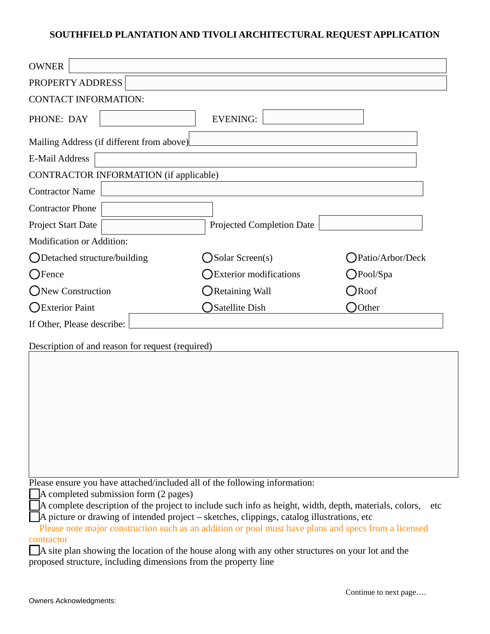## **SOUTHFIELD PLANTATION AND TIVOLI ARCHITECTURAL REQUEST APPLICATION**

| <b>OWNER</b>                                     |                                                         |                     |  |  |  |  |  |  |
|--------------------------------------------------|---------------------------------------------------------|---------------------|--|--|--|--|--|--|
| PROPERTY ADDRESS                                 |                                                         |                     |  |  |  |  |  |  |
| <b>CONTACT INFORMATION:</b>                      |                                                         |                     |  |  |  |  |  |  |
| PHONE: DAY                                       | <b>EVENING:</b>                                         |                     |  |  |  |  |  |  |
| Mailing Address (if different from above)        |                                                         |                     |  |  |  |  |  |  |
| <b>E-Mail Address</b>                            |                                                         |                     |  |  |  |  |  |  |
| CONTRACTOR INFORMATION (if applicable)           |                                                         |                     |  |  |  |  |  |  |
| <b>Contractor Name</b>                           |                                                         |                     |  |  |  |  |  |  |
| <b>Contractor Phone</b>                          |                                                         |                     |  |  |  |  |  |  |
| Project Start Date                               | <b>Projected Completion Date</b>                        |                     |  |  |  |  |  |  |
| Modification or Addition:                        |                                                         |                     |  |  |  |  |  |  |
| $\bigcup$ Detached structure/building            | <b>Solar Screen(s)</b>                                  | Patio/Arbor/Deck    |  |  |  |  |  |  |
| <b>S</b> Fence                                   | <b>Exterior modifications</b>                           | $\bigcirc$ Pool/Spa |  |  |  |  |  |  |
| New Construction                                 | Retaining Wall                                          | $\bigcirc$ Roof     |  |  |  |  |  |  |
| ◯Exterior Paint                                  | <b>Satellite Dish</b>                                   | Other               |  |  |  |  |  |  |
| If Other, Please describe:                       |                                                         |                     |  |  |  |  |  |  |
| Description of and reason for request (required) |                                                         |                     |  |  |  |  |  |  |
|                                                  |                                                         |                     |  |  |  |  |  |  |
|                                                  |                                                         |                     |  |  |  |  |  |  |
|                                                  |                                                         |                     |  |  |  |  |  |  |
|                                                  |                                                         |                     |  |  |  |  |  |  |
|                                                  |                                                         |                     |  |  |  |  |  |  |
|                                                  |                                                         |                     |  |  |  |  |  |  |
|                                                  |                                                         |                     |  |  |  |  |  |  |
| ה נת                                             | have attached "valuded all of the following information |                     |  |  |  |  |  |  |

Please ensure you have attached/included all of the following information:

A completed submission form (2 pages)

A complete description of the project to include such info as height, width, depth, materials, colors, etc

A picture or drawing of intended project – sketches, clippings, catalog illustrations, etc

 Please note major construction such as an addition or pool must have plans and specs from a licensed contractor

A site plan showing the location of the house along with any other structures on your lot and the proposed structure, including dimensions from the property line